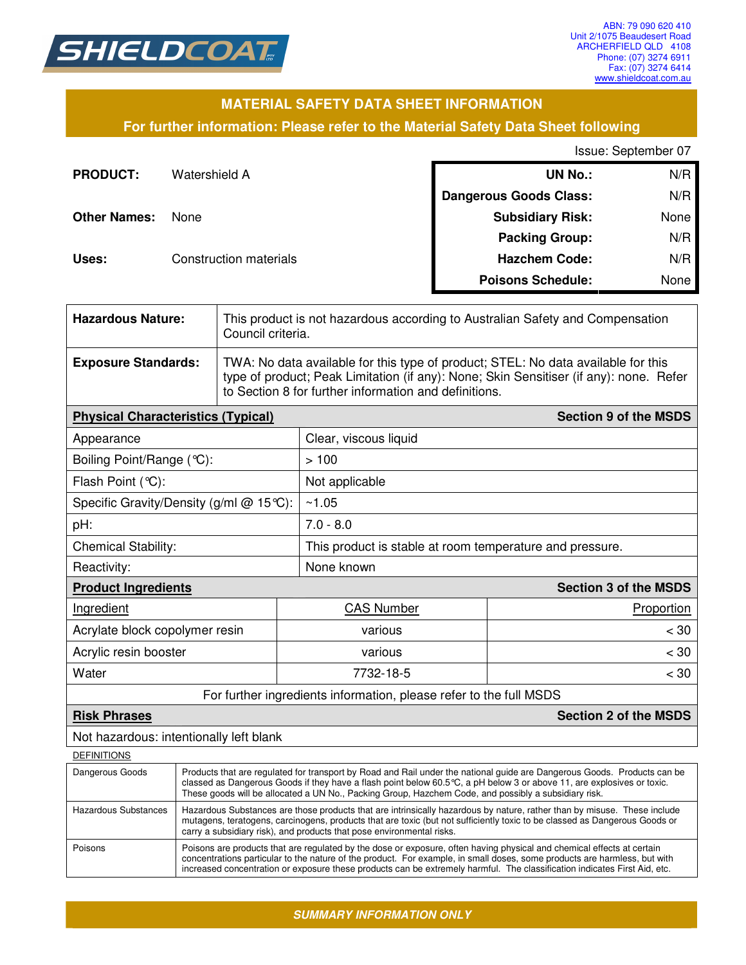

## **MATERIAL SAFETY DATA SHEET INFORMATION**

### **For further information: Please refer to the Material Safety Data Sheet following**

Issue: September 07

| <b>PRODUCT:</b>     | Watershield A          | <b>UN No.:</b>                | N/R  |
|---------------------|------------------------|-------------------------------|------|
|                     |                        | <b>Dangerous Goods Class:</b> | N/R  |
| <b>Other Names:</b> | None                   | <b>Subsidiary Risk:</b>       | None |
|                     |                        | <b>Packing Group:</b>         | N/R  |
| Uses:               | Construction materials | <b>Hazchem Code:</b>          | N/R  |
|                     |                        | <b>Poisons Schedule:</b>      | None |

| <b>Hazardous Nature:</b>                                           |                                                                                                                                                                                                                                                                                                                                                             | This product is not hazardous according to Australian Safety and Compensation<br>Council criteria.                                                                                                                                   |                                                          |                              |  |
|--------------------------------------------------------------------|-------------------------------------------------------------------------------------------------------------------------------------------------------------------------------------------------------------------------------------------------------------------------------------------------------------------------------------------------------------|--------------------------------------------------------------------------------------------------------------------------------------------------------------------------------------------------------------------------------------|----------------------------------------------------------|------------------------------|--|
| <b>Exposure Standards:</b>                                         |                                                                                                                                                                                                                                                                                                                                                             | TWA: No data available for this type of product; STEL: No data available for this<br>type of product; Peak Limitation (if any): None; Skin Sensitiser (if any): none. Refer<br>to Section 8 for further information and definitions. |                                                          |                              |  |
|                                                                    | <b>Section 9 of the MSDS</b><br><b>Physical Characteristics (Typical)</b>                                                                                                                                                                                                                                                                                   |                                                                                                                                                                                                                                      |                                                          |                              |  |
| Appearance                                                         |                                                                                                                                                                                                                                                                                                                                                             |                                                                                                                                                                                                                                      | Clear, viscous liquid                                    |                              |  |
| Boiling Point/Range (°C):                                          |                                                                                                                                                                                                                                                                                                                                                             |                                                                                                                                                                                                                                      | >100                                                     |                              |  |
| Flash Point (°C):                                                  |                                                                                                                                                                                                                                                                                                                                                             |                                                                                                                                                                                                                                      | Not applicable                                           |                              |  |
| Specific Gravity/Density (g/ml @ 15°C):                            |                                                                                                                                                                                                                                                                                                                                                             |                                                                                                                                                                                                                                      | ~1.05                                                    |                              |  |
| pH:                                                                |                                                                                                                                                                                                                                                                                                                                                             |                                                                                                                                                                                                                                      | $7.0 - 8.0$                                              |                              |  |
| Chemical Stability:                                                |                                                                                                                                                                                                                                                                                                                                                             |                                                                                                                                                                                                                                      | This product is stable at room temperature and pressure. |                              |  |
| Reactivity:                                                        |                                                                                                                                                                                                                                                                                                                                                             |                                                                                                                                                                                                                                      | None known                                               |                              |  |
| <b>Product Ingredients</b>                                         |                                                                                                                                                                                                                                                                                                                                                             |                                                                                                                                                                                                                                      |                                                          | <b>Section 3 of the MSDS</b> |  |
| Ingredient                                                         |                                                                                                                                                                                                                                                                                                                                                             | <b>CAS Number</b><br>Proportion                                                                                                                                                                                                      |                                                          |                              |  |
| Acrylate block copolymer resin                                     |                                                                                                                                                                                                                                                                                                                                                             | various                                                                                                                                                                                                                              | < 30                                                     |                              |  |
| Acrylic resin booster                                              |                                                                                                                                                                                                                                                                                                                                                             | various                                                                                                                                                                                                                              | < 30                                                     |                              |  |
| Water                                                              |                                                                                                                                                                                                                                                                                                                                                             | 7732-18-5                                                                                                                                                                                                                            | < 30                                                     |                              |  |
| For further ingredients information, please refer to the full MSDS |                                                                                                                                                                                                                                                                                                                                                             |                                                                                                                                                                                                                                      |                                                          |                              |  |
| <b>Section 2 of the MSDS</b><br><b>Risk Phrases</b>                |                                                                                                                                                                                                                                                                                                                                                             |                                                                                                                                                                                                                                      |                                                          |                              |  |
| Not hazardous: intentionally left blank                            |                                                                                                                                                                                                                                                                                                                                                             |                                                                                                                                                                                                                                      |                                                          |                              |  |
| <b>DEFINITIONS</b>                                                 |                                                                                                                                                                                                                                                                                                                                                             |                                                                                                                                                                                                                                      |                                                          |                              |  |
| Dangerous Goods                                                    | Products that are regulated for transport by Road and Rail under the national guide are Dangerous Goods. Products can be<br>classed as Dangerous Goods if they have a flash point below 60.5 °C, a pH below 3 or above 11, are explosives or toxic.<br>These goods will be allocated a UN No., Packing Group, Hazchem Code, and possibly a subsidiary risk. |                                                                                                                                                                                                                                      |                                                          |                              |  |
| <b>Hazardous Substances</b>                                        | Hazardous Substances are those products that are intrinsically hazardous by nature, rather than by misuse. These include<br>mutagens, teratogens, carcinogens, products that are toxic (but not sufficiently toxic to be classed as Dangerous Goods or<br>carry a subsidiary risk), and products that pose environmental risks.                             |                                                                                                                                                                                                                                      |                                                          |                              |  |
|                                                                    |                                                                                                                                                                                                                                                                                                                                                             |                                                                                                                                                                                                                                      |                                                          |                              |  |

Poisons Poisons are products that are regulated by the dose or exposure, often having physical and chemical effects at certain concentrations particular to the nature of the product. For example, in small doses, some products are harmless, but with increased concentration or exposure these products can be extremely harmful. The classification indicates First Aid, etc.

*SUMMARY INFORMATION ONLY*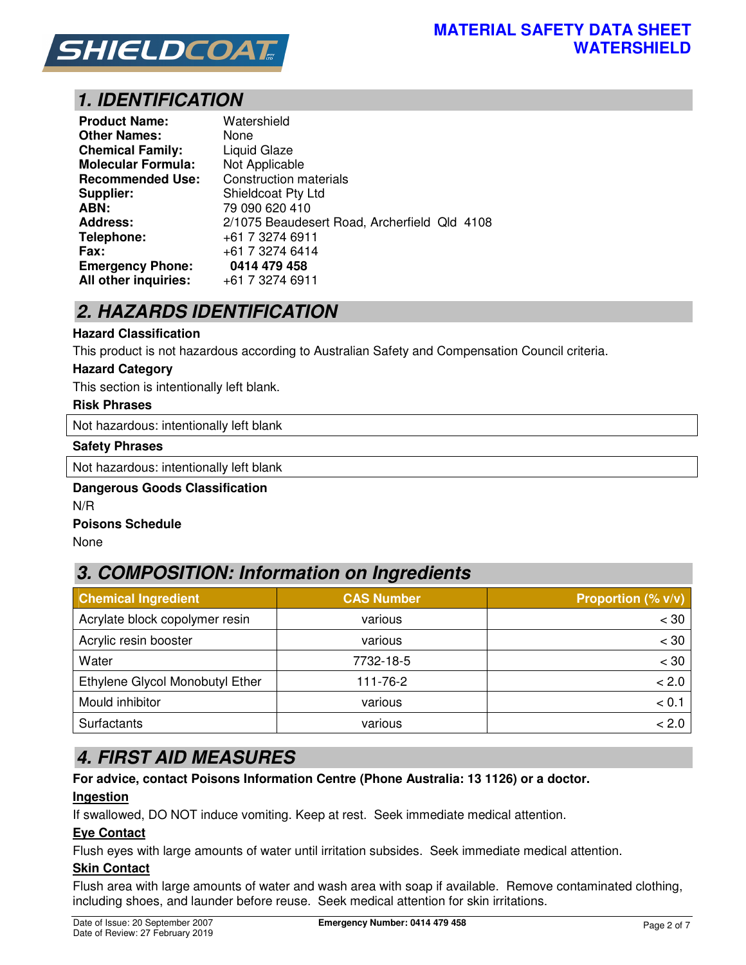

# *1. IDENTIFICATION*

| <b>Product Name:</b>      | Watershield                                  |
|---------------------------|----------------------------------------------|
| <b>Other Names:</b>       | None                                         |
| <b>Chemical Family:</b>   | <b>Liquid Glaze</b>                          |
| <b>Molecular Formula:</b> | Not Applicable                               |
| <b>Recommended Use:</b>   | <b>Construction materials</b>                |
| Supplier:                 | Shieldcoat Pty Ltd                           |
| ABN:                      | 79 090 620 410                               |
| <b>Address:</b>           | 2/1075 Beaudesert Road, Archerfield Qld 4108 |
| Telephone:                | +61 7 3274 6911                              |
| <b>Fax:</b>               | +61 7 3274 6414                              |
| <b>Emergency Phone:</b>   | 0414 479 458                                 |
| All other inquiries:      | +61 7 3274 6911                              |

# *2. HAZARDS IDENTIFICATION*

#### **Hazard Classification**

This product is not hazardous according to Australian Safety and Compensation Council criteria.

#### **Hazard Category**

This section is intentionally left blank.

#### **Risk Phrases**

Not hazardous: intentionally left blank

#### **Safety Phrases**

Not hazardous: intentionally left blank

#### **Dangerous Goods Classification**  N/R

#### **Poisons Schedule**

None

## *3. COMPOSITION: Information on Ingredients*

| <b>Chemical Ingredient</b>      | <b>CAS Number</b> | Proportion (% v/v) |
|---------------------------------|-------------------|--------------------|
| Acrylate block copolymer resin  | various           | < 30               |
| Acrylic resin booster           | various           | $< 30$             |
| Water                           | 7732-18-5         | < 30               |
| Ethylene Glycol Monobutyl Ether | 111-76-2          | < 2.0              |
| Mould inhibitor                 | various           | < 0.1              |
| Surfactants                     | various           | < 2.0              |

## *4. FIRST AID MEASURES*

#### **For advice, contact Poisons Information Centre (Phone Australia: 13 1126) or a doctor.**

#### **Ingestion**

If swallowed, DO NOT induce vomiting. Keep at rest. Seek immediate medical attention.

#### **Eye Contact**

Flush eyes with large amounts of water until irritation subsides. Seek immediate medical attention.

### **Skin Contact**

Flush area with large amounts of water and wash area with soap if available. Remove contaminated clothing, including shoes, and launder before reuse. Seek medical attention for skin irritations.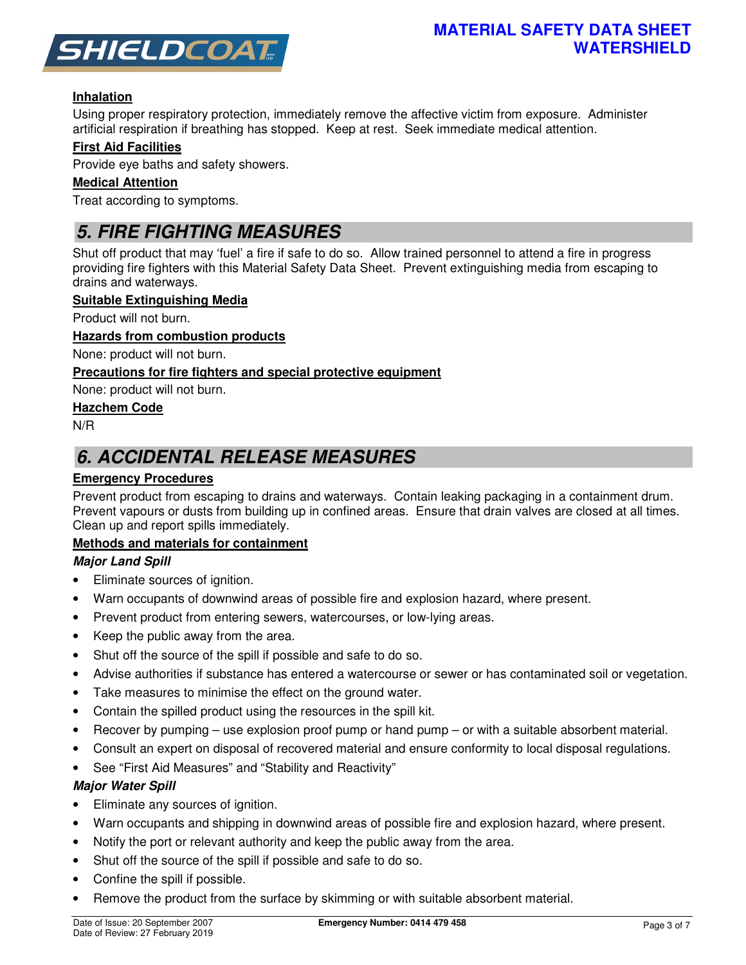

## **Inhalation**

Using proper respiratory protection, immediately remove the affective victim from exposure. Administer artificial respiration if breathing has stopped. Keep at rest. Seek immediate medical attention.

### **First Aid Facilities**

Provide eye baths and safety showers.

#### **Medical Attention**

Treat according to symptoms.

# *5. FIRE FIGHTING MEASURES*

Shut off product that may 'fuel' a fire if safe to do so. Allow trained personnel to attend a fire in progress providing fire fighters with this Material Safety Data Sheet. Prevent extinguishing media from escaping to drains and waterways.

#### **Suitable Extinguishing Media**

Product will not burn.

#### **Hazards from combustion products**

None: product will not burn.

### **Precautions for fire fighters and special protective equipment**

None: product will not burn.

#### **Hazchem Code**

N/R

# *6. ACCIDENTAL RELEASE MEASURES*

### **Emergency Procedures**

Prevent product from escaping to drains and waterways. Contain leaking packaging in a containment drum. Prevent vapours or dusts from building up in confined areas. Ensure that drain valves are closed at all times. Clean up and report spills immediately.

#### **Methods and materials for containment**

#### *Major Land Spill*

- Eliminate sources of ignition.
- Warn occupants of downwind areas of possible fire and explosion hazard, where present.
- Prevent product from entering sewers, watercourses, or low-lying areas.
- Keep the public away from the area.
- Shut off the source of the spill if possible and safe to do so.
- Advise authorities if substance has entered a watercourse or sewer or has contaminated soil or vegetation.
- Take measures to minimise the effect on the ground water.
- Contain the spilled product using the resources in the spill kit.
- Recover by pumping use explosion proof pump or hand pump or with a suitable absorbent material.
- Consult an expert on disposal of recovered material and ensure conformity to local disposal regulations.
- See "First Aid Measures" and "Stability and Reactivity"

#### *Major Water Spill*

- Eliminate any sources of ignition.
- Warn occupants and shipping in downwind areas of possible fire and explosion hazard, where present.
- Notify the port or relevant authority and keep the public away from the area.
- Shut off the source of the spill if possible and safe to do so.
- Confine the spill if possible.
- Remove the product from the surface by skimming or with suitable absorbent material.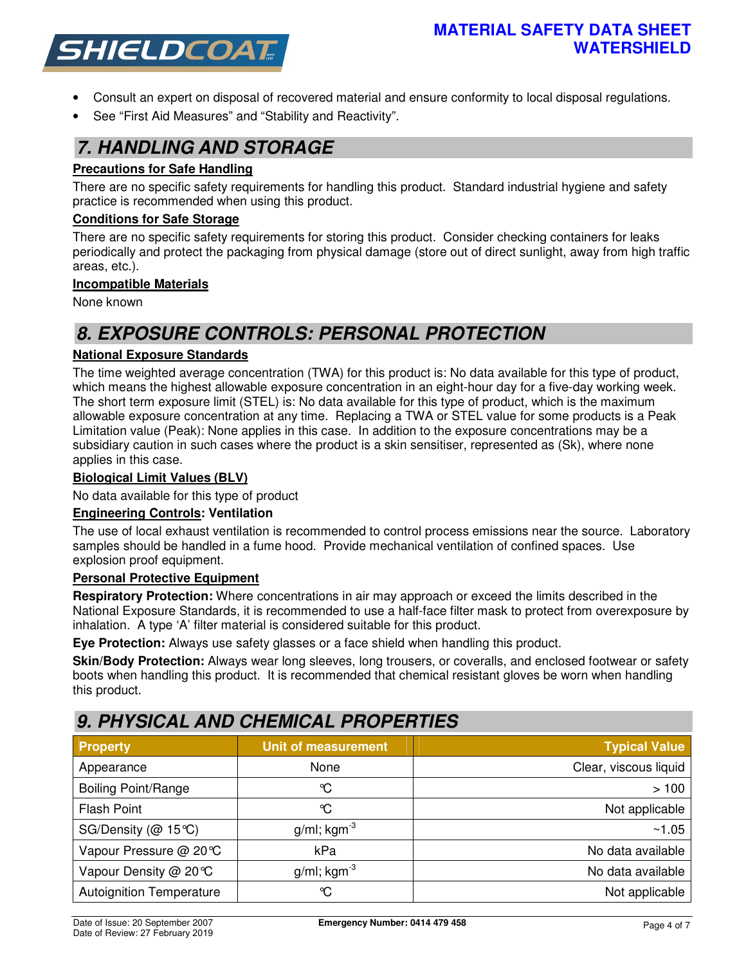

- Consult an expert on disposal of recovered material and ensure conformity to local disposal regulations.
- See "First Aid Measures" and "Stability and Reactivity".

## *7. HANDLING AND STORAGE*

### **Precautions for Safe Handling**

There are no specific safety requirements for handling this product. Standard industrial hygiene and safety practice is recommended when using this product.

#### **Conditions for Safe Storage**

There are no specific safety requirements for storing this product. Consider checking containers for leaks periodically and protect the packaging from physical damage (store out of direct sunlight, away from high traffic areas, etc.).

### **Incompatible Materials**

None known

# *8. EXPOSURE CONTROLS: PERSONAL PROTECTION*

### **National Exposure Standards**

The time weighted average concentration (TWA) for this product is: No data available for this type of product, which means the highest allowable exposure concentration in an eight-hour day for a five-day working week. The short term exposure limit (STEL) is: No data available for this type of product, which is the maximum allowable exposure concentration at any time. Replacing a TWA or STEL value for some products is a Peak Limitation value (Peak): None applies in this case. In addition to the exposure concentrations may be a subsidiary caution in such cases where the product is a skin sensitiser, represented as (Sk), where none applies in this case.

#### **Biological Limit Values (BLV)**

No data available for this type of product

#### **Engineering Controls: Ventilation**

The use of local exhaust ventilation is recommended to control process emissions near the source. Laboratory samples should be handled in a fume hood. Provide mechanical ventilation of confined spaces. Use explosion proof equipment.

#### **Personal Protective Equipment**

**Respiratory Protection:** Where concentrations in air may approach or exceed the limits described in the National Exposure Standards, it is recommended to use a half-face filter mask to protect from overexposure by inhalation. A type 'A' filter material is considered suitable for this product.

**Eye Protection:** Always use safety glasses or a face shield when handling this product.

**Skin/Body Protection:** Always wear long sleeves, long trousers, or coveralls, and enclosed footwear or safety boots when handling this product. It is recommended that chemical resistant gloves be worn when handling this product.

## *9. PHYSICAL AND CHEMICAL PROPERTIES*

| <b>Property</b>                 | <b>Unit of measurement</b> | <b>Typical Value</b>  |
|---------------------------------|----------------------------|-----------------------|
| Appearance                      | None                       | Clear, viscous liquid |
| <b>Boiling Point/Range</b>      | ℃                          | >100                  |
| <b>Flash Point</b>              | °C                         | Not applicable        |
| SG/Density ( $@$ 15°C)          | $g/ml$ ; kgm <sup>-3</sup> | ~1.05                 |
| Vapour Pressure @ 20℃           | kPa                        | No data available     |
| Vapour Density @ 20℃            | $g/ml$ ; kgm <sup>-3</sup> | No data available     |
| <b>Autoignition Temperature</b> | ℃                          | Not applicable        |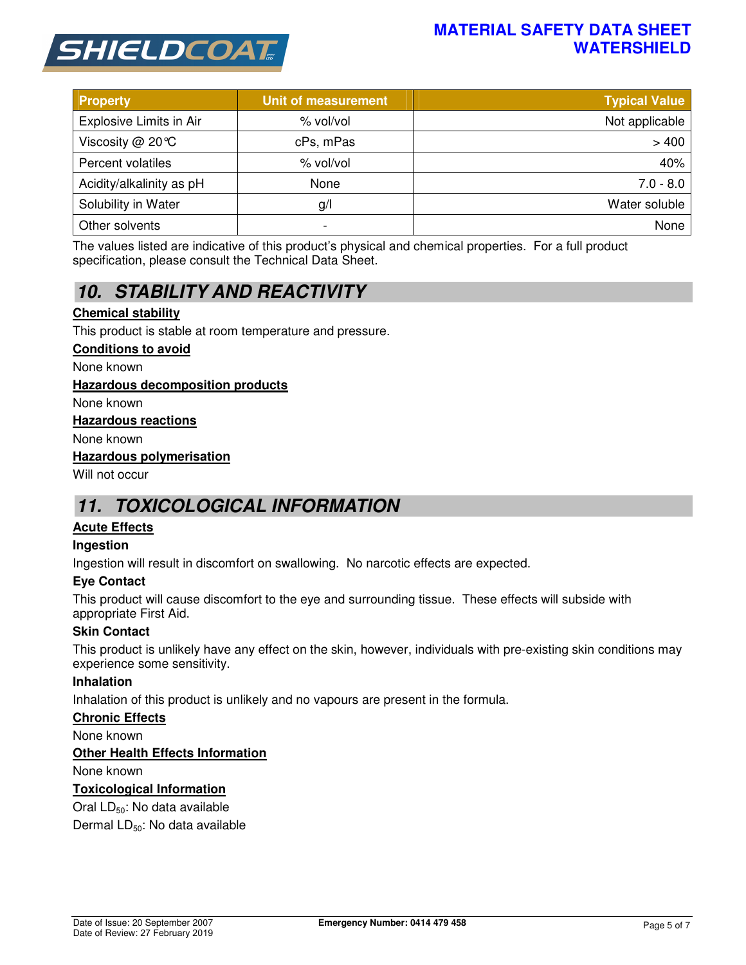

## **MATERIAL SAFETY DATA SHEET WATERSHIELD**

| <b>Property</b>                | <b>Unit of measurement</b> | <b>Typical Value</b> |
|--------------------------------|----------------------------|----------------------|
| <b>Explosive Limits in Air</b> | % vol/vol                  | Not applicable       |
| Viscosity @ 20℃                | cPs, mPas                  | >400                 |
| Percent volatiles              | % vol/vol                  | 40%                  |
| Acidity/alkalinity as pH       | None                       | $7.0 - 8.0$          |
| Solubility in Water            | g/                         | Water soluble        |
| Other solvents                 | -                          | None                 |

The values listed are indicative of this product's physical and chemical properties. For a full product specification, please consult the Technical Data Sheet.

# *10. STABILITY AND REACTIVITY*

### **Chemical stability**

This product is stable at room temperature and pressure.

#### **Conditions to avoid**

None known

#### **Hazardous decomposition products**

None known

#### **Hazardous reactions**

None known

#### **Hazardous polymerisation**

Will not occur

## *11. TOXICOLOGICAL INFORMATION*

#### **Acute Effects**

#### **Ingestion**

Ingestion will result in discomfort on swallowing. No narcotic effects are expected.

#### **Eye Contact**

This product will cause discomfort to the eye and surrounding tissue. These effects will subside with appropriate First Aid.

#### **Skin Contact**

This product is unlikely have any effect on the skin, however, individuals with pre-existing skin conditions may experience some sensitivity.

#### **Inhalation**

Inhalation of this product is unlikely and no vapours are present in the formula.

#### **Chronic Effects**

None known

#### **Other Health Effects Information**

None known

#### **Toxicological Information**

Oral LD<sub>50</sub>: No data available

Dermal LD<sub>50</sub>: No data available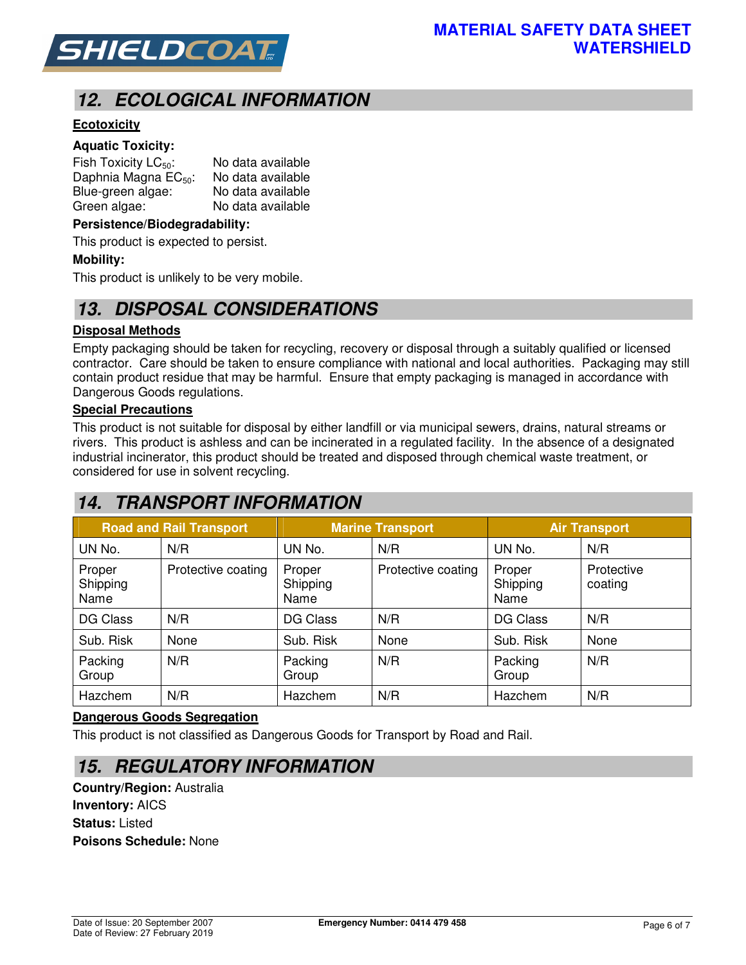

# *12. ECOLOGICAL INFORMATION*

## **Ecotoxicity**

#### **Aquatic Toxicity:**

| Fish Toxicity $LC_{50}$ :        | No data available |
|----------------------------------|-------------------|
| Daphnia Magna EC <sub>50</sub> : | No data available |
| Blue-green algae:                | No data available |
| Green algae:                     | No data available |

#### **Persistence/Biodegradability:**

This product is expected to persist.

#### **Mobility:**

This product is unlikely to be very mobile.

## *13. DISPOSAL CONSIDERATIONS*

#### **Disposal Methods**

Empty packaging should be taken for recycling, recovery or disposal through a suitably qualified or licensed contractor. Care should be taken to ensure compliance with national and local authorities. Packaging may still contain product residue that may be harmful. Ensure that empty packaging is managed in accordance with Dangerous Goods regulations.

#### **Special Precautions**

This product is not suitable for disposal by either landfill or via municipal sewers, drains, natural streams or rivers. This product is ashless and can be incinerated in a regulated facility. In the absence of a designated industrial incinerator, this product should be treated and disposed through chemical waste treatment, or considered for use in solvent recycling.

## *14. TRANSPORT INFORMATION*

| <b>Road and Rail Transport</b> |                    | <b>Marine Transport</b>    |                    | <b>Air Transport</b>       |                       |
|--------------------------------|--------------------|----------------------------|--------------------|----------------------------|-----------------------|
| UN No.                         | N/R                | UN No.                     | N/R                | UN No.                     | N/R                   |
| Proper<br>Shipping<br>Name     | Protective coating | Proper<br>Shipping<br>Name | Protective coating | Proper<br>Shipping<br>Name | Protective<br>coating |
| DG Class                       | N/R                | DG Class                   | N/R                | <b>DG Class</b>            | N/R                   |
| Sub. Risk                      | None               | Sub. Risk                  | None               | Sub. Risk                  | None                  |
| Packing<br>Group               | N/R                | Packing<br>Group           | N/R                | Packing<br>Group           | N/R                   |
| Hazchem                        | N/R                | Hazchem                    | N/R                | Hazchem                    | N/R                   |

#### **Dangerous Goods Segregation**

This product is not classified as Dangerous Goods for Transport by Road and Rail.

## *15. REGULATORY INFORMATION*

**Country/Region:** Australia **Inventory:** AICS **Status:** Listed **Poisons Schedule:** None